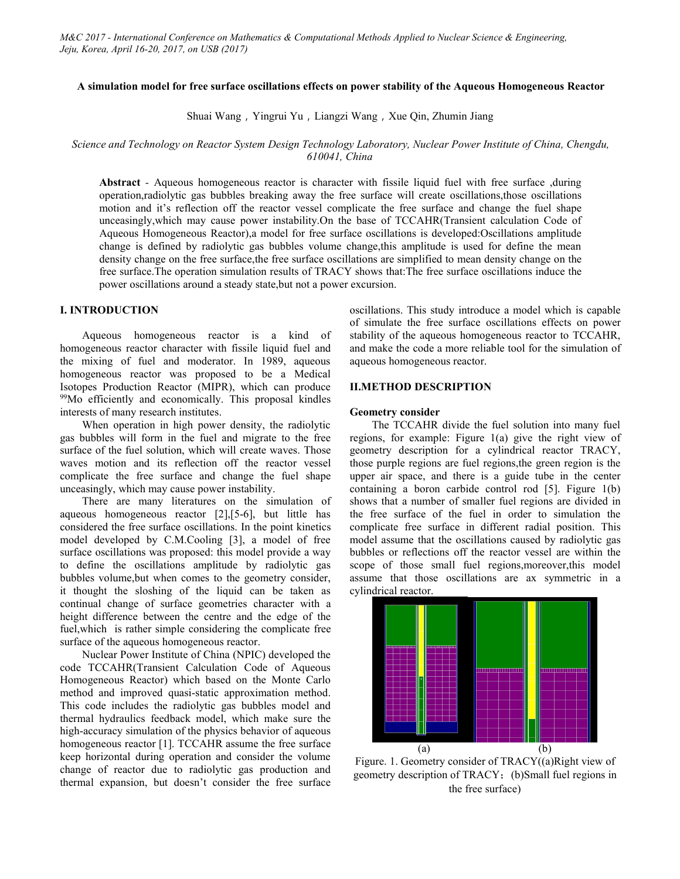# **A simulation model for free surface oscillations effects on power stability of the Aqueous Homogeneous Reactor**

Shuai Wang, Yingrui Yu, Liangzi Wang, Xue Qin, Zhumin Jiang

# *Science and Technology on Reactor System Design Technology Laboratory, Nuclear Power Institute of China, Chengdu, 610041, China*

**Abstract** *-* Aqueous homogeneous reactor is character with fissile liquid fuel with free surface ,during operation,radiolytic gas bubbles breaking away the free surface will create oscillations,those oscillations motion and it's reflection off the reactor vessel complicate the free surface and change the fuel shape unceasingly,which may cause power instability.On the base of TCCAHR(Transient calculation Code of Aqueous Homogeneous Reactor),a model for free surface oscillations is developed:Oscillations amplitude change is defined by radiolytic gas bubbles volume change,this amplitude is used for define the mean density change on the free surface,the free surface oscillations are simplified to mean density change on the free surface. The operation simulation results of TRACY shows that: The free surface oscillations induce the power oscillations around a steady state,but not a power excursion.

# **I. INTRODUCTION**

Aqueous homogeneous reactor is a kind of homogeneous reactor character with fissile liquid fuel and the mixing of fuel and moderator. In 1989, aqueous homogeneous reactor was proposed to be a Medical Isotopes Production Reactor (MIPR), which can produce <sup>99</sup>Mo efficiently and economically. This proposal kindles interests of many research institutes.

When operation in high power density, the radiolytic gas bubbles will form in the fuel and migrate to the free surface of the fuel solution, which will create waves. Those waves motion and its reflection off the reactor vessel complicate the free surface and change the fuel shape unceasingly, which may cause power instability.

There are many literatures on the simulation of aqueous homogeneous reactor [2],[5-6], but little has considered the free surface oscillations. In the point kinetics model developed by C.M.Cooling [3], a model of free surface oscillations was proposed: this model provide a way to define the oscillations amplitude by radiolytic gas bubbles volume,but when comes to the geometry consider, it thought the sloshing of the liquid can be taken as continual change of surface geometries character with a height difference between the centre and the edge of the fuel,which is rather simple considering the complicate free surface of the aqueous homogeneous reactor.

Nuclear Power Institute of China (NPIC) developed the code TCCAHR(Transient Calculation Code of Aqueous Homogeneous Reactor) which based on the Monte Carlo method and improved quasi-static approximation method. This code includes the radiolytic gas bubbles model and thermal hydraulics feedback model, which make sure the high-accuracy simulation of the physics behavior of aqueous homogeneous reactor [1]. TCCAHR assume the free surface (a) keep horizontal during operation and consider the volume change of reactor due to radiolytic gas production and thermal expansion, but doesn't consider the free surface

oscillations. This study introduce a model which is capable of simulate the free surface oscillations effects on power stability of the aqueous homogeneous reactor to TCCAHR, and make the code a more reliable tool for the simulation of aqueous homogeneous reactor.

# **II.METHOD DESCRIPTION**

#### **Geometry consider**

The TCCAHR divide the fuel solution into many fuel regions, for example: Figure 1(a) give the right view of geometry description for a cylindrical reactor TRACY, those purple regions are fuel regions,the green region is the upper air space, and there is a guide tube in the center containing a boron carbide control rod [5]. Figure 1(b) shows that a number of smaller fuel regions are divided in the free surface of the fuel in order to simulation the complicate free surface in different radial position. This model assume that the oscillations caused by radiolytic gas bubbles or reflections off the reactor vessel are within the scope of those small fuel regions,moreover,this model assume that those oscillations are ax symmetric in a cylindrical reactor.



Figure. 1. Geometry consider of TRACY((a)Right view of geometry description of TRACY; (b)Small fuel regions in the free surface)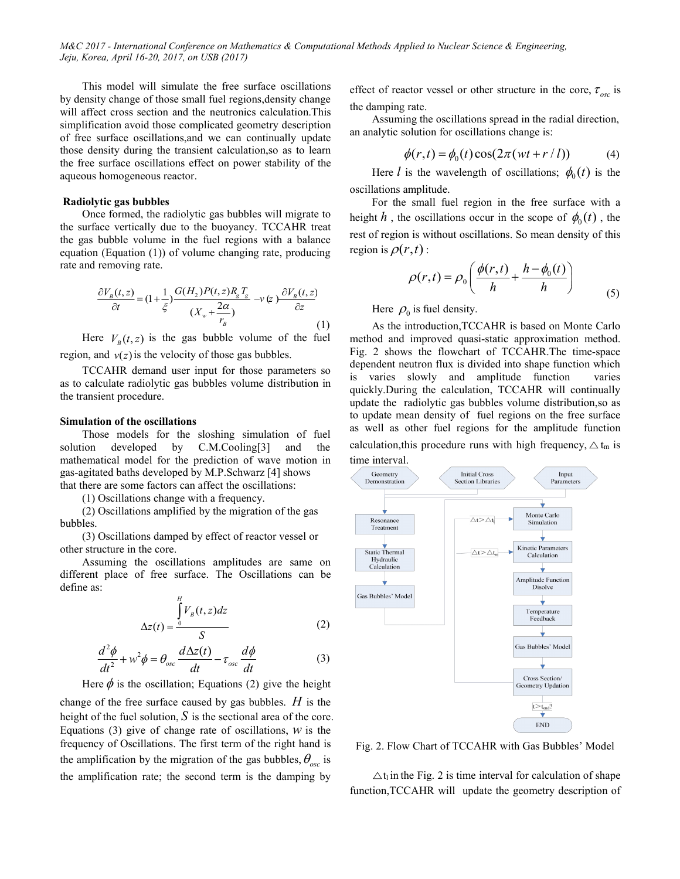M&C 2017 - International Conference on Mathematics & Computational Methods Applied to Nuclear Science & Engineering, *Jeju, Korea, April 16-20, 2017, on USB (2017)*

This model will simulate the free surface oscillations by density change of those small fuel regions,density change will affect cross section and the neutronics calculation.This simplification avoid those complicated geometry description of free surface oscillations,and we can continually update those density during the transient calculation,so as to learn the free surface oscillations effect on power stability of the aqueous homogeneous reactor.

### **Radiolytic gas bubbles**

Once formed, the radiolytic gas bubbles will migrate to the surface vertically due to the buoyancy. TCCAHR treat the gas bubble volume in the fuel regions with a balance equation (Equation (1)) of volume changing rate, producing rate and removing rate.

$$
\frac{\partial V_B(t, z)}{\partial t} = (1 + \frac{1}{\xi}) \frac{G(H_2)P(t, z)R_g T_g}{(X_w + \frac{2\alpha}{r_B})} \to \infty \quad \text{Here } \rho_0 \text{ is fuel density.}
$$
\n
$$
\text{Here } \rho_0 \text{ is fuel density.}
$$
\n
$$
\text{A's the introduction } \Gamma C C \Delta H R \text{ is based on the system.}
$$

Here  $V_B(t, z)$  is the gas bubble volume of the fuel method and region, and  $v(z)$  is the velocity of those gas bubbles.

TCCAHR demand user input for those parameters so as to calculate radiolytic gas bubbles volume distribution in the transient procedure.

#### **Simulation of the oscillations**

Those models for the sloshing simulation of fuel solution developed by C.M.Cooling[3] and the mathematical model for the prediction of wave motion in gas-agitated baths developed by M.P.Schwarz  $[4]$  shows<br>  $(1, 1)$  and  $(2, 1)$  are some state and offered the openillations that there are some factors can affect the oscillations:

(1) Oscillations change with a frequency.

(2) Oscillations amplified by the migration of the gas bubbles.

(3) Oscillations damped by effect of reactor vessel or other structure in the core.

Assuming the oscillations amplitudes are same on **Hydraulic** Calculation different place of free surface. The Oscillations can be define as:

$$
\Delta z(t) = \frac{\int_{0}^{H} V_B(t, z) dz}{S}
$$
 (2)

$$
\frac{d^2\phi}{dt^2} + w^2\phi = \theta_{osc}\frac{d\Delta z(t)}{dt} - \tau_{osc}\frac{d\phi}{dt}
$$
 (3)

Here  $\phi$  is the oscillation; Equations (2) give the height change of the free surface caused by gas bubbles.  $H$  is the

height of the fuel solution,  $S$  is the sectional area of the core. Equations (3) give of change rate of oscillations,  $W$  is the frequency of Oscillations. The first term of the right hand is the amplification by the migration of the gas bubbles,  $\theta_{\rm esc}$  is is the amplification rate; the second term is the damping by

effect of reactor vessel or other structure in the core,  $\tau_{osc}$  is the damping rate.

Assuming the oscillations spread in the radial direction, an analytic solution for oscillations change is:

$$
\phi(r,t) = \phi_0(t)\cos(2\pi(wt + r/l))
$$
\n(4)

Here *l* is the wavelength of oscillations;  $\phi_0(t)$  is the oscillations amplitude.

For the small fuel region in the free surface with a height h, the oscillations occur in the scope of  $\phi_0(t)$ , the rest of region is without oscillations. So mean density of this region is  $\rho(r,t)$  :

$$
\rho(r,t) = \rho_0 \left( \frac{\phi(r,t)}{h} + \frac{h - \phi_0(t)}{h} \right) \tag{5}
$$

(1) As the introduction,TCCAHR is based on Monte Carlo method and improved quasi-static approximation method. Fig. 2 shows the flowchart of TCCAHR.The time-space dependent neutron flux is divided into shape function which is varies slowly and amplitude function varies quickly.During the calculation, TCCAHR will continually update the radiolytic gas bubbles volume distribution,so as to update mean density of fuel regions on the free surface as well as other fuel regions for the amplitude function calculation,this procedure runs with high frequency,  $\Delta t_m$  is time interval.



Fig. 2. Flow Chart of TCCAHR with Gas Bubbles' Model

 $\Delta t$  in the Fig. 2 is time interval for calculation of shape function,TCCAHR will update the geometry description of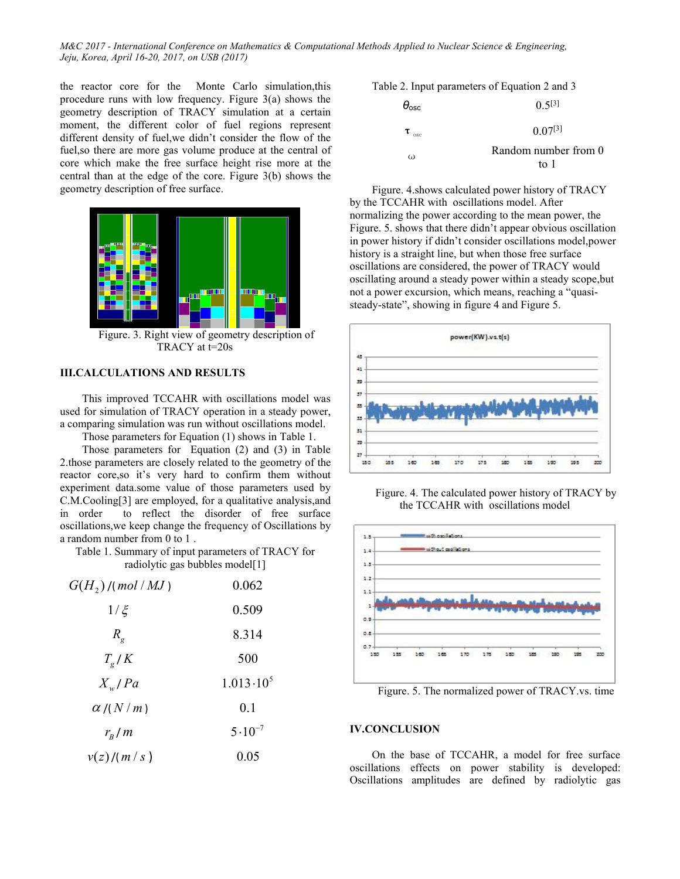M&C 2017 - International Conference on Mathematics & Computational Methods Applied to Nuclear Science & Engineering, *Jeju, Korea, April 16-20, 2017, on USB (2017)*

the reactor core for the Monte Carlo simulation,this procedure runs with low frequency. Figure  $3(a)$  shows the geometry description of TRACY simulation at a certain moment, the different color of fuel regions represent different density of fuel,we didn't consider the flow of the fuel, so there are more gas volume produce at the central of core which make the free surface height rise more at the central than at the edge of the core. Figure 3(b) shows the geometry description of free surface.



Figure. 3. Right view of geometry description of TRACY at t=20s

# **III.CALCULATIONS** AND RESULTS

This improved TCCAHR with oscillations model was used for simulation of TRACY operation in a steady power, a comparing simulation was run without oscillations model.

Those parameters for Equation (1) shows in Table 1.  $\frac{1}{n}$ 

Those parameters for Equation (2) and (3) in Table 2. those parameters are closely related to the geometry of the  $\Box$ reactor core,so it's very hard to confirm them without experiment data.some value of those parameters used by C.M.Cooling[3] are employed, for a qualitative analysis,and in order to reflect the disorder of free surface oscillations,we keep change the frequency of Oscillations by a random number from 0 to 1 .

Table 1. Summary of input parameters of TRACY for radiolytic gas bubbles model[1]

| $G(H_2)$ /(mol / MJ) | 0.062              | 1.1                                                                                                                                                                                                                                                                         |
|----------------------|--------------------|-----------------------------------------------------------------------------------------------------------------------------------------------------------------------------------------------------------------------------------------------------------------------------|
| $1/\xi$              | 0.509              | 0.2                                                                                                                                                                                                                                                                         |
| $R_{g}$              | 8.314              | 0.8                                                                                                                                                                                                                                                                         |
| $T_{\rm g}/K$        | 500                | $0.7 -$<br>350                                                                                                                                                                                                                                                              |
| $X_{w}/Pa$           | $1.013 \cdot 10^5$ | Figure. 5. The normalized power of TRACY.vs.                                                                                                                                                                                                                                |
| $\alpha$ /( $N/m$ )  | 0.1                |                                                                                                                                                                                                                                                                             |
| $r_{B}/m$            | $5 \cdot 10^{-7}$  | <b>IV.CONCLUSION</b>                                                                                                                                                                                                                                                        |
| v(z)/(m/s)           | 0.05               | On the base of TCCAHR, a model for free s<br>$11.11$ $11.11$ $11.11$ $11.11$ $11.11$ $11.11$ $11.11$ $11.11$ $11.11$ $11.11$ $11.11$ $11.11$ $11.11$ $11.11$ $11.11$ $11.11$ $11.11$ $11.11$ $11.11$ $11.11$ $11.11$ $11.11$ $11.11$ $11.11$ $11.11$ $11.11$ $11.11$ $11.1$ |

Table 2. Input parameters of Equation 2 and 3

| $\theta_{\rm osc}$        | $0.5^{[3]}$                  |  |
|---------------------------|------------------------------|--|
| $\mathbf{\tau}_{\rm osc}$ | $0.07^{[3]}$                 |  |
| ω                         | Random number from 0<br>to 1 |  |

Figure. 4.shows calculated power history of TRACY by the TCCAHR with oscillations model. After normalizing the power according to the mean power, the Figure. 5. shows that there didn't appear obvious oscillation in power history if didn't consider oscillations model,power history is a straight line, but when those free surface oscillations are considered, the power of TRACY would oscillating around a steady power within a steady scope,but not a power excursion, which means, reaching a "quasi steady-state", showing in figure 4 and Figure 5.



Figure. 4. The calculated power history of TRACY by the TCCAHR with oscillations model



*v*(*z*)/( *m* / *s* ) 0.05 On the base of TCCAHR, a model for free surface oscillations effects on power stability is developed: Oscillations amplitudes are defined by radiolytic gas